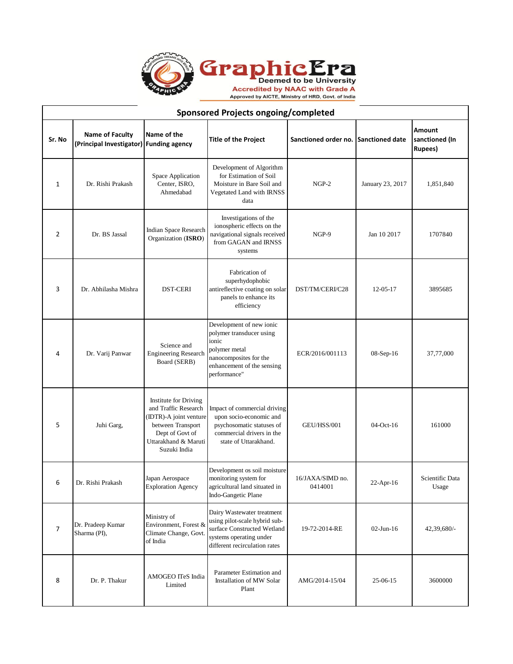

T

| <b>Sponsored Projects ongoing/completed</b> |                                                                   |                                                                                                                                                                |                                                                                                                                                        |                                      |                  |                                             |  |
|---------------------------------------------|-------------------------------------------------------------------|----------------------------------------------------------------------------------------------------------------------------------------------------------------|--------------------------------------------------------------------------------------------------------------------------------------------------------|--------------------------------------|------------------|---------------------------------------------|--|
| Sr. No                                      | <b>Name of Faculty</b><br>(Principal Investigator) Funding agency | Name of the                                                                                                                                                    | <b>Title of the Project</b>                                                                                                                            | Sanctioned order no. Sanctioned date |                  | Amount<br>sanctioned (In<br><b>Rupees</b> ) |  |
| $\mathbf{1}$                                | Dr. Rishi Prakash                                                 | Space Application<br>Center, ISRO,<br>Ahmedabad                                                                                                                | Development of Algorithm<br>for Estimation of Soil<br>Moisture in Bare Soil and<br>Vegetated Land with IRNSS<br>data                                   | $NGP-2$                              | January 23, 2017 | 1,851,840                                   |  |
| $\overline{2}$                              | Dr. BS Jassal                                                     | Indian Space Research<br>Organization (ISRO)                                                                                                                   | Investigations of the<br>ionospheric effects on the<br>navigational signals received<br>from GAGAN and IRNSS<br>systems                                | NGP-9                                | Jan 10 2017      | 1707840                                     |  |
| 3                                           | Dr. Abhilasha Mishra                                              | <b>DST-CERI</b>                                                                                                                                                | Fabrication of<br>superhydophobic<br>antireflective coating on solar<br>panels to enhance its<br>efficiency                                            | DST/TM/CERI/C28                      | $12 - 05 - 17$   | 3895685                                     |  |
| 4                                           | Dr. Varij Panwar                                                  | Science and<br><b>Engineering Research</b><br>Board (SERB)                                                                                                     | Development of new ionic<br>polymer transducer using<br>ionic<br>polymer metal<br>nanocomposites for the<br>enhancement of the sensing<br>performance" | ECR/2016/001113                      | 08-Sep-16        | 37,77,000                                   |  |
| 5                                           | Juhi Garg,                                                        | <b>Institute for Driving</b><br>and Traffic Research<br>(IDTR)-A joint venture<br>between Transport<br>Dept of Govt of<br>Uttarakhand & Maruti<br>Suzuki India | Impact of commercial driving<br>upon socio-economic and<br>psychosomatic statuses of<br>commercial drivers in the<br>state of Uttarakhand.             | GEU/HSS/001                          | 04-Oct-16        | 161000                                      |  |
| 6                                           | Dr. Rishi Prakash                                                 | Japan Aerospace<br>Exploration Agency                                                                                                                          | Development os soil moisture<br>monitoring system for<br>agricultural land situated in<br>Indo-Gangetic Plane                                          | 16/JAXA/SIMD no.<br>0414001          | $22$ -Apr-16     | Scientific Data<br>Usage                    |  |
| $\overline{7}$                              | Dr. Pradeep Kumar<br>Sharma (PI),                                 | Ministry of<br>Environment, Forest &<br>Climate Change, Govt.<br>of India                                                                                      | Dairy Wastewater treatment<br>using pilot-scale hybrid sub-<br>surface Constructed Wetland<br>systems operating under<br>different recirculation rates | 19-72-2014-RE                        | $02$ -Jun-16     | 42,39,680/-                                 |  |
| 8                                           | Dr. P. Thakur                                                     | AMOGEO ITeS India<br>Limited                                                                                                                                   | Parameter Estimation and<br>Installation of MW Solar<br>Plant                                                                                          | AMG/2014-15/04                       | 25-06-15         | 3600000                                     |  |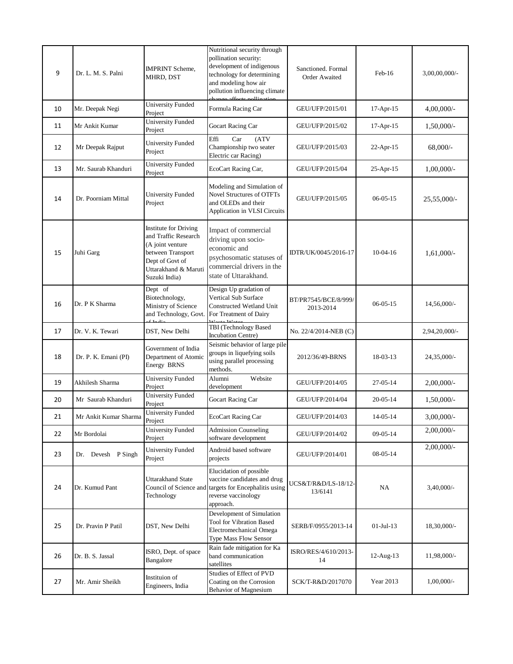| 9  | Dr. L. M. S. Palni    | <b>IMPRINT Scheme.</b><br>MHRD, DST                                                                                                                       | Nutritional security through<br>pollination security:<br>development of indigenous<br>technology for determining<br>and modeling how air<br>pollution influencing climate<br>change offects pollination | Sanctioned. Formal<br><b>Order Awaited</b> | Feb-16         | $3,00,00,000/$ - |
|----|-----------------------|-----------------------------------------------------------------------------------------------------------------------------------------------------------|---------------------------------------------------------------------------------------------------------------------------------------------------------------------------------------------------------|--------------------------------------------|----------------|------------------|
| 10 | Mr. Deepak Negi       | University Funded<br>Project                                                                                                                              | Formula Racing Car                                                                                                                                                                                      | GEU/UFP/2015/01                            | 17-Apr-15      | $4,00,000/$ -    |
| 11 | Mr Ankit Kumar        | <b>University Funded</b><br>Project                                                                                                                       | Gocart Racing Car                                                                                                                                                                                       | GEU/UFP/2015/02                            | $17-Apr-15$    | 1,50,000/-       |
| 12 | Mr Deepak Rajput      | <b>University Funded</b><br>Project                                                                                                                       | Effi<br>Car<br>(ATV)<br>Championship two seater<br>Electric car Racing)                                                                                                                                 | GEU/UFP/2015/03                            | $22-Apr-15$    | $68,000/-$       |
| 13 | Mr. Saurab Khanduri   | <b>University Funded</b><br>Project                                                                                                                       | EcoCart Racing Car,                                                                                                                                                                                     | GEU/UFP/2015/04                            | 25-Apr-15      | $1,00,000/-$     |
| 14 | Dr. Poorniam Mittal   | <b>University Funded</b><br>Project                                                                                                                       | Modeling and Simulation of<br><b>Novel Structures of OTFTs</b><br>and OLEDs and their<br>Application in VLSI Circuits                                                                                   | GEU/UFP/2015/05                            | $06 - 05 - 15$ | 25,55,000/-      |
| 15 | Juhi Garg             | <b>Institute for Driving</b><br>and Traffic Research<br>(A joint venture<br>between Transport<br>Dept of Govt of<br>Uttarakhand & Maruti<br>Suzuki India) | Impact of commercial<br>driving upon socio-<br>economic and<br>psychosomatic statuses of<br>commercial drivers in the<br>state of Uttarakhand.                                                          | IDTR/UK/0045/2016-17                       | $10-04-16$     | $1,61,000/-$     |
| 16 | Dr. P K Sharma        | Dept of<br>Biotechnology,<br>Ministry of Science<br>and Technology, Govt.                                                                                 | Design Up gradation of<br>Vertical Sub Surface<br>Constructed Wetland Unit<br>For Treatment of Dairy                                                                                                    | BT/PR7545/BCE/8/999/<br>2013-2014          | $06 - 05 - 15$ | 14,56,000/-      |
| 17 | Dr. V. K. Tewari      | DST, New Delhi                                                                                                                                            | TBI (Technology Based<br>Incubation Centre)                                                                                                                                                             | No. 22/4/2014-NEB (C)                      |                | 2,94,20,000/-    |
| 18 | Dr. P. K. Emani (PI)  | Government of India<br>Department of Atomic<br>Energy BRNS                                                                                                | Seismic behavior of large pile<br>groups in liquefying soils<br>using parallel processing<br>methods.                                                                                                   | 2012/36/49-BRNS                            | 18-03-13       | 24,35,000/-      |
| 19 | Akhilesh Sharma       | <b>University Funded</b><br>Project                                                                                                                       | Website<br>Alumni<br>development                                                                                                                                                                        | GEU/UFP/2014/05                            | 27-05-14       | $2,00,000/$ -    |
| 20 | Mr Saurab Khanduri    | <b>University Funded</b><br>Project                                                                                                                       | Gocart Racing Car                                                                                                                                                                                       | GEU/UFP/2014/04                            | $20 - 05 - 14$ | $1,50,000/-$     |
| 21 | Mr Ankit Kumar Sharma | <b>University Funded</b><br>Project                                                                                                                       | EcoCart Racing Car                                                                                                                                                                                      | GEU/UFP/2014/03                            | $14 - 05 - 14$ | $3,00,000/$ -    |
| 22 | Mr Bordolai           | <b>University Funded</b><br>Project                                                                                                                       | <b>Admission Counseling</b><br>software development                                                                                                                                                     | GEU/UFP/2014/02                            | 09-05-14       | 2,00,000/-       |
| 23 | Dr. Devesh P Singh    | <b>University Funded</b><br>Project                                                                                                                       | Android based software<br>projects                                                                                                                                                                      | GEU/UFP/2014/01                            | 08-05-14       | 2,00,000/-       |
| 24 | Dr. Kumud Pant        | Uttarakhand State<br>Technology                                                                                                                           | Elucidation of possible<br>vaccine candidates and drug<br>Council of Science and targets for Encephalitis using<br>reverse vaccinology<br>approach.                                                     | UCS&T/R&D/LS-18/12-<br>13/6141             | NA             | 3,40,000/-       |
| 25 | Dr. Pravin P Patil    | DST, New Delhi                                                                                                                                            | Development of Simulation<br><b>Tool for Vibration Based</b><br>Electromechanical Omega<br>Type Mass Flow Sensor                                                                                        | SERB/F/0955/2013-14                        | $01$ -Jul-13   | 18,30,000/-      |
| 26 | Dr. B. S. Jassal      | ISRO, Dept. of space<br>Bangalore                                                                                                                         | Rain fade mitigation for Ka<br>band communication<br>satellites                                                                                                                                         | ISRO/RES/4/610/2013-<br>14                 | 12-Aug-13      | 11,98,000/-      |
| 27 | Mr. Amir Sheikh       | Instituion of<br>Engineers, India                                                                                                                         | Studies of Effect of PVD<br>Coating on the Corrosion<br><b>Behavior of Magnesium</b>                                                                                                                    | SCK/T-R&D/2017070                          | Year 2013      | $1,00,000/-$     |